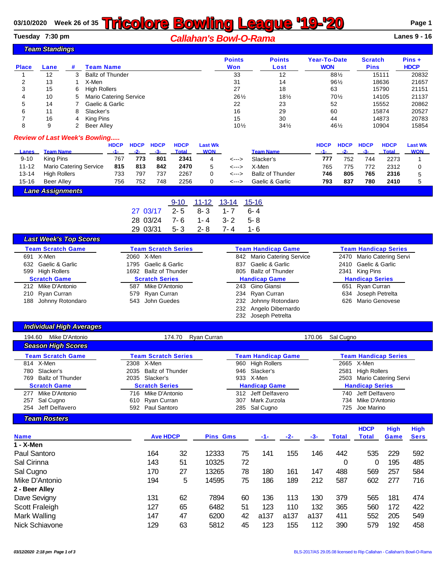## **03/10/2020** Week 26 of 35 **Tricolore Bowling League '19-'20** Page 1

**Tuesday 7:30 pm** *Callahan's Bowl-O-Rama* **Lanes 9 - 16**

|                                      | <b>Team Standings</b>         |   |                               |                                                                      |             |             |                            |                |                 |                           |                     |             |                             |              |                |
|--------------------------------------|-------------------------------|---|-------------------------------|----------------------------------------------------------------------|-------------|-------------|----------------------------|----------------|-----------------|---------------------------|---------------------|-------------|-----------------------------|--------------|----------------|
|                                      |                               |   |                               |                                                                      |             |             |                            |                | <b>Points</b>   | <b>Points</b>             | <b>Year-To-Date</b> |             | <b>Scratch</b>              |              | Pins +         |
| <b>Place</b>                         | Lane                          | # | <b>Team Name</b>              |                                                                      |             |             |                            |                | Won             | Lost                      |                     | <b>WON</b>  |                             | <b>Pins</b>  | <b>HDCP</b>    |
|                                      | 12                            | 3 | <b>Ballz of Thunder</b>       |                                                                      |             |             |                            |                | 33              | 12                        |                     | 881/2       |                             | 15111        | 20832          |
| 2                                    | 13                            |   | X-Men                         |                                                                      |             |             |                            |                | 31              | 14                        |                     | 961/2       |                             | 18636        | 21657          |
| 3                                    | 15                            | 6 | <b>High Rollers</b>           |                                                                      |             |             |                            |                | 27              | 18                        | 63                  |             |                             | 15790        | 21151          |
| 4                                    | 10                            | 5 | <b>Mario Catering Service</b> |                                                                      |             |             |                            |                | 261/2           | $18\frac{1}{2}$           |                     | $70\%$      |                             | 14105        | 21137          |
| 5                                    | 14                            |   | Gaelic & Garlic               |                                                                      |             |             |                            |                | 22              | 23                        | 52                  |             |                             | 15552        | 20862          |
| 6                                    | 11                            | 8 | Slacker's                     |                                                                      |             |             |                            |                | 16              | 29                        | 60                  |             |                             | 15874        | 20527          |
| 7                                    | 16                            | 4 | King Pins                     |                                                                      |             |             |                            |                | 15              | 30                        | 44                  |             |                             | 14873        | 20783          |
| 8                                    | 9                             | 2 | <b>Beer Alley</b>             |                                                                      |             |             |                            |                | $10\frac{1}{2}$ | $34\frac{1}{2}$           |                     | 461/2       |                             | 10904        | 15854          |
| <b>Review of Last Week's Bowling</b> |                               |   |                               | <b>HDCP</b>                                                          | <b>HDCP</b> | <b>HDCP</b> | <b>HDCP</b>                | <b>Last Wk</b> |                 |                           | <b>HDCP</b>         | <b>HDCP</b> | <b>HDCP</b>                 | <b>HDCP</b>  | <b>Last Wk</b> |
| Lanes                                | <b>Team Name</b>              |   |                               | $-1-$                                                                | $-2-$       | $-3-$       | <b>Total</b>               | <b>WON</b>     |                 | <b>Team Name</b>          | $-1-$               | $-2-$       | $-3-$                       | <b>Total</b> | <b>WON</b>     |
| $9 - 10$                             | King Pins                     |   |                               | 767                                                                  | 773         | 801         | 2341                       | 4              | <--->           | Slacker's                 | 777                 | 752         | 744                         | 2273         | 1              |
| $11 - 12$                            |                               |   | <b>Mario Catering Service</b> | 815                                                                  | 813         | 842         | 2470                       | 5              | <--->           | X-Men                     | 765                 | 775         | 772                         | 2312         | 0              |
| $13 - 14$                            | <b>High Rollers</b>           |   |                               | 733                                                                  | 797         | 737         | 2267                       | $\Omega$       | <--->           | <b>Ballz of Thunder</b>   | 746                 | 805         | 765                         | 2316         | 5              |
| $15 - 16$                            | <b>Beer Alley</b>             |   |                               | 756                                                                  | 752         | 748         | 2256                       | 0              | <--->           | Gaelic & Garlic           | 793                 | 837         | 780                         | 2410         | 5              |
|                                      | <b>Lane Assignments</b>       |   |                               |                                                                      |             |             |                            |                |                 |                           |                     |             |                             |              |                |
|                                      |                               |   |                               |                                                                      |             |             | $9 - 10$                   | $11 - 12$      | $13 - 14$       | $15 - 16$                 |                     |             |                             |              |                |
|                                      |                               |   |                               |                                                                      | 27 03/17    |             | $2 - 5$                    | $8 - 3$        | $1 - 7$         | $6 - 4$                   |                     |             |                             |              |                |
|                                      |                               |   |                               |                                                                      | 28 03/24    |             | $7 - 6$                    | $1 - 4$        | $3 - 2$         | $5 - 8$                   |                     |             |                             |              |                |
|                                      |                               |   |                               |                                                                      | 29          | 03/31       | $5 - 3$                    | $2 - 8$        | $7 - 4$         | $1 - 6$                   |                     |             |                             |              |                |
|                                      | <b>Last Week's Top Scores</b> |   |                               |                                                                      |             |             |                            |                |                 |                           |                     |             |                             |              |                |
|                                      | <b>Team Scratch Game</b>      |   |                               |                                                                      |             |             | <b>Team Scratch Series</b> |                |                 | <b>Team Handicap Game</b> |                     |             | <b>Team Handicap Series</b> |              |                |
| 2060 X-Men<br>691 X-Men              |                               |   |                               | 842<br><b>Mario Catering Service</b><br>2470<br>Mario Catering Servi |             |             |                            |                |                 |                           |                     |             |                             |              |                |

| 691 X-Men            | 2060 X-Men            | 842 Mario Catering Service | 2470 Mario Catering Servi |
|----------------------|-----------------------|----------------------------|---------------------------|
| 632 Gaelic & Garlic  | 1795 Gaelic & Garlic  | 837 Gaelic & Garlic        | 2410 Gaelic & Garlic      |
| 599 High Rollers     | 1692 Ballz of Thunder | 805 Ballz of Thunder       | 2341 King Pins            |
| <b>Scratch Game</b>  | <b>Scratch Series</b> | <b>Handicap Game</b>       | <b>Handicap Series</b>    |
| 212 Mike D'Antonio   | 587 Mike D'Antonio    | 243 Gino Giansi            | 651 Ryan Curran           |
| 210 Ryan Curran      | 579 Ryan Curran       | 234 Ryan Curran            | 634 Joseph Petrelta       |
| 188 Johnny Rotondaro | 543 John Guedes       | 232 Johnny Rotondaro       | 626 Mario Genovese        |
|                      |                       | 232 Angelo Dibernardo      |                           |
|                      |                       | 232 Joseph Petrelta        |                           |

| <b>Individual High Averages</b>                                                                                                                                                          |                                                                                                                                                                                              |                                                                                                                                                                                         |                                                                                                                                                                                                           |
|------------------------------------------------------------------------------------------------------------------------------------------------------------------------------------------|----------------------------------------------------------------------------------------------------------------------------------------------------------------------------------------------|-----------------------------------------------------------------------------------------------------------------------------------------------------------------------------------------|-----------------------------------------------------------------------------------------------------------------------------------------------------------------------------------------------------------|
| Mike D'Antonio<br>194.60                                                                                                                                                                 | Ryan Curran<br>174.70                                                                                                                                                                        | 170.06                                                                                                                                                                                  | Sal Cugno                                                                                                                                                                                                 |
| Season High Scores                                                                                                                                                                       |                                                                                                                                                                                              |                                                                                                                                                                                         |                                                                                                                                                                                                           |
| <b>Team Scratch Game</b><br>814 X-Men<br>Slacker's<br>780<br><b>Ballz of Thunder</b><br>769<br><b>Scratch Game</b><br>Mike D'Antonio<br>277<br>Sal Cugno<br>257<br>Jeff Delfavero<br>254 | <b>Team Scratch Series</b><br>2308 X-Men<br><b>Ballz of Thunder</b><br>2035<br>2035<br>Slacker's<br><b>Scratch Series</b><br>Mike D'Antonio<br>716<br>610 Ryan Curran<br>Paul Santoro<br>592 | <b>Team Handicap Game</b><br><b>High Rollers</b><br>960<br>Slacker's<br>946<br>X-Men<br>933<br><b>Handicap Game</b><br>Jeff Delfavero<br>312<br>Mark Zurzola<br>307<br>Sal Cugno<br>285 | <b>Team Handicap Series</b><br>2665 X-Men<br><b>High Rollers</b><br>2581<br>Mario Catering Servi<br>2503<br><b>Handicap Series</b><br>Jeff Delfavero<br>740<br>Mike D'Antonio<br>734<br>Joe Marino<br>725 |
| <b>Team Rosters</b>                                                                                                                                                                      |                                                                                                                                                                                              |                                                                                                                                                                                         |                                                                                                                                                                                                           |
| <b>Name</b><br>1 - X-Men                                                                                                                                                                 | <b>Ave HDCP</b><br><b>Pins Gms</b>                                                                                                                                                           | $-2-$<br>-3-<br>-1-                                                                                                                                                                     | <b>HDCP</b><br><b>High</b><br><b>High</b><br><b>Sers</b><br><b>Total</b><br>Total<br>Game                                                                                                                 |

| $1 - X$ -Men   |     |    |       |    |      |      |      |     |     |     |     |
|----------------|-----|----|-------|----|------|------|------|-----|-----|-----|-----|
| Paul Santoro   | 164 | 32 | 12333 | 75 | 141  | 155  | 146  | 442 | 535 | 229 | 592 |
| Sal Cirinna    | 143 | 51 | 10325 | 72 |      |      |      | 0   | 0   | 195 | 485 |
| Sal Cugno      | 170 | 27 | 13265 | 78 | 180  | 161  | 147  | 488 | 569 | 257 | 584 |
| Mike D'Antonio | 194 | 5  | 14595 | 75 | 186  | 189  | 212  | 587 | 602 | 277 | 716 |
| 2 - Beer Alley |     |    |       |    |      |      |      |     |     |     |     |
| Dave Sevigny   | 131 | 62 | 7894  | 60 | 136  | 113  | 130  | 379 | 565 | 181 | 474 |
| Scott Fraleigh | 127 | 65 | 6482  | 51 | 123  | 110  | 132  | 365 | 560 | 172 | 422 |
| Mark Walling   | 147 | 47 | 6200  | 42 | a137 | a137 | a137 | 411 | 552 | 205 | 549 |
| Nick Schiavone | 129 | 63 | 5812  | 45 | 123  | 155  | 112  | 390 | 579 | 192 | 458 |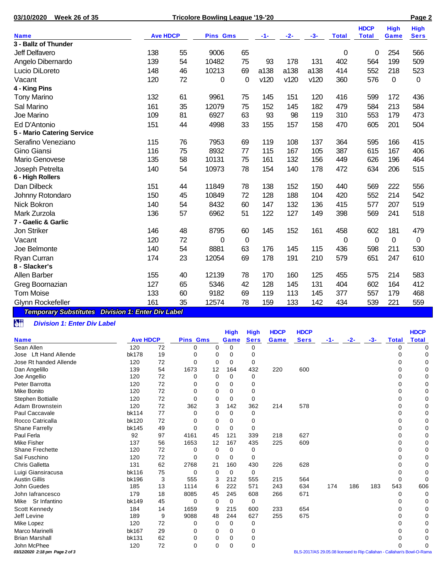| 03/10/2020<br><b>Week 26 of 35</b>  |                 |    | Page 2          |          |      |       |       |              |              |             |             |
|-------------------------------------|-----------------|----|-----------------|----------|------|-------|-------|--------------|--------------|-------------|-------------|
|                                     |                 |    |                 |          |      |       |       |              | <b>HDCP</b>  | <b>High</b> | <b>High</b> |
| <b>Name</b><br>3 - Ballz of Thunder | <b>Ave HDCP</b> |    | <b>Pins Gms</b> |          | -1-  | $-2-$ | $-3-$ | <b>Total</b> | <b>Total</b> | Game        | <b>Sers</b> |
|                                     |                 |    |                 |          |      |       |       |              |              |             |             |
| Jeff Delfavero                      | 138             | 55 | 9006            | 65       |      |       |       | 0            | 0            | 254         | 566         |
| Angelo Dibernardo                   | 139             | 54 | 10482           | 75       | 93   | 178   | 131   | 402          | 564          | 199         | 509         |
| Lucio DiLoreto                      | 148             | 46 | 10213           | 69       | a138 | a138  | a138  | 414          | 552          | 218         | 523         |
| Vacant                              | 120             | 72 | 0               | $\Omega$ | v120 | v120  | v120  | 360          | 576          | $\pmb{0}$   | 0           |
| 4 - King Pins                       |                 |    |                 |          |      |       |       |              |              |             |             |
| <b>Tony Marino</b>                  | 132             | 61 | 9961            | 75       | 145  | 151   | 120   | 416          | 599          | 172         | 436         |
| Sal Marino                          | 161             | 35 | 12079           | 75       | 152  | 145   | 182   | 479          | 584          | 213         | 584         |
| Joe Marino                          | 109             | 81 | 6927            | 63       | 93   | 98    | 119   | 310          | 553          | 179         | 473         |
| Ed D'Antonio                        | 151             | 44 | 4998            | 33       | 155  | 157   | 158   | 470          | 605          | 201         | 504         |
| 5 - Mario Catering Service          |                 |    |                 |          |      |       |       |              |              |             |             |
| Serafino Veneziano                  | 115             | 76 | 7953            | 69       | 119  | 108   | 137   | 364          | 595          | 166         | 415         |
| <b>Gino Giansi</b>                  | 116             | 75 | 8932            | 77       | 115  | 167   | 105   | 387          | 615          | 167         | 406         |
| Mario Genovese                      | 135             | 58 | 10131           | 75       | 161  | 132   | 156   | 449          | 626          | 196         | 464         |
| Joseph Petrelta                     | 140             | 54 | 10973           | 78       | 154  | 140   | 178   | 472          | 634          | 206         | 515         |
| 6 - High Rollers                    |                 |    |                 |          |      |       |       |              |              |             |             |
| Dan Dilbeck                         | 151             | 44 | 11849           | 78       | 138  | 152   | 150   | 440          | 569          | 222         | 556         |
| Johnny Rotondaro                    | 150             | 45 | 10849           | 72       | 128  | 188   | 104   | 420          | 552          | 214         | 542         |
| Nick Bokron                         | 140             | 54 | 8432            | 60       | 147  | 132   | 136   | 415          | 577          | 207         | 519         |
| Mark Zurzola                        | 136             | 57 | 6962            | 51       | 122  | 127   | 149   | 398          | 569          | 241         | 518         |
| 7 - Gaelic & Garlic                 |                 |    |                 |          |      |       |       |              |              |             |             |
| Jon Striker                         | 146             | 48 | 8795            | 60       | 145  | 152   | 161   | 458          | 602          | 181         | 479         |
| Vacant                              | 120             | 72 | 0               | 0        |      |       |       | 0            | $\Omega$     | 0           | 0           |
| Joe Belmonte                        | 140             | 54 | 8881            | 63       | 176  | 145   | 115   | 436          | 598          | 211         | 530         |
| Ryan Curran                         | 174             | 23 | 12054           | 69       | 178  | 191   | 210   | 579          | 651          | 247         | 610         |
| 8 - Slacker's                       |                 |    |                 |          |      |       |       |              |              |             |             |
| Allen Barber                        | 155             | 40 | 12139           | 78       | 170  | 160   | 125   | 455          | 575          | 214         | 583         |
| Greg Boornazian                     | 127             | 65 | 5346            | 42       | 128  | 145   | 131   | 404          | 602          | 164         | 412         |
| <b>Tom Moise</b>                    | 133             | 60 | 9182            | 69       | 119  | 113   | 145   | 377          | 557          | 179         | 468         |
| Glynn Rockefeller                   | 161             | 35 | 12574           | 78       | 159  | 133   | 142   | 434          | 539          | 221         | 559         |
|                                     |                 |    |                 |          |      |       |       |              |              |             |             |

*Temporary Substitutes Division 1: Enter Div Label*

## *Division 1: Enter Div Label*

|                                 |                 |    |                 |          | <b>High</b> | <b>High</b> | <b>HDCP</b> | <b>HDCP</b> |     |       |       |              | <b>HDCP</b>                                                            |
|---------------------------------|-----------------|----|-----------------|----------|-------------|-------------|-------------|-------------|-----|-------|-------|--------------|------------------------------------------------------------------------|
| <b>Name</b>                     | <b>Ave HDCP</b> |    | <b>Pins Gms</b> |          | Game        | <b>Sers</b> | Game        | <b>Sers</b> | -1- | $-2-$ | $-3-$ | <b>Total</b> | <b>Total</b>                                                           |
| Sean Allen                      | 120             | 72 | 0               | 0        | 0           | $\Omega$    |             |             |     |       |       | $\Omega$     | 0                                                                      |
| <b>Lft Hand Allende</b><br>Jose | <b>bk178</b>    | 19 | 0               | 0        | 0           | 0           |             |             |     |       |       | 0            | 0                                                                      |
| Jose Rt handed Allende          | 120             | 72 | 0               | 0        | 0           | 0           |             |             |     |       |       | 0            | ი                                                                      |
| Dan Angelillo                   | 139             | 54 | 1673            | 12       | 164         | 432         | 220         | 600         |     |       |       | 0            | 0                                                                      |
| Joe Angellio                    | 120             | 72 | 0               | 0        | 0           | 0           |             |             |     |       |       | 0            | 0                                                                      |
| Peter Barrotta                  | 120             | 72 | 0               | 0        | 0           | 0           |             |             |     |       |       | 0            | 0                                                                      |
| <b>Mike Bonito</b>              | 120             | 72 | 0               | 0        | 0           | 0           |             |             |     |       |       | 0            | 0                                                                      |
| Stephen Bottialle               | 120             | 72 | 0               | 0        | 0           | 0           |             |             |     |       |       | 0            | 0                                                                      |
| Adam Brownstein                 | 120             | 72 | 362             | 3        | 142         | 362         | 214         | 578         |     |       |       | 0            | 0                                                                      |
| Paul Caccavale                  | bk114           | 77 | 0               | 0        | 0           | 0           |             |             |     |       |       | 0            | 0                                                                      |
| Rocco Catricalla                | <b>bk120</b>    | 72 | 0               | 0        | 0           | 0           |             |             |     |       |       | 0            | 0                                                                      |
| <b>Shane Farrelly</b>           | <b>bk145</b>    | 49 | 0               | 0        | 0           | 0           |             |             |     |       |       | 0            | 0                                                                      |
| Paul Ferla                      | 92              | 97 | 4161            | 45       | 121         | 339         | 218         | 627         |     |       |       | 0            | 0                                                                      |
| Mike Fisher                     | 137             | 56 | 1653            | 12       | 167         | 435         | 225         | 609         |     |       |       | 0            | 0                                                                      |
| Shane Frechette                 | 120             | 72 | 0               | 0        | 0           | 0           |             |             |     |       |       | <sup>0</sup> | O                                                                      |
| Sal Fuschino                    | 120             | 72 | 0               | 0        | 0           | 0           |             |             |     |       |       | 0            | 0                                                                      |
| <b>Chris Galletta</b>           | 131             | 62 | 2768            | 21       | 160         | 430         | 226         | 628         |     |       |       | 0            | 0                                                                      |
| Luigi Giansiracusa              | bk116           | 75 | 0               | 0        | 0           | 0           |             |             |     |       |       | O            | O                                                                      |
| <b>Austin Gillis</b>            | bk196           | 3  | 555             | 3        | 212         | 555         | 215         | 564         |     |       |       | 0            | 0                                                                      |
| John Guedes                     | 185             | 13 | 1114            | 6        | 222         | 571         | 243         | 634         | 174 | 186   | 183   | 543          | 606                                                                    |
| John lafrancesco                | 179             | 18 | 8085            | 45       | 245         | 608         | 266         | 671         |     |       |       | 0            | 0                                                                      |
| Sr Infantino<br>Mike            | bk149           | 45 | 0               | 0        | 0           | 0           |             |             |     |       |       | 0            | 0                                                                      |
| Scott Kennedy                   | 184             | 14 | 1659            | 9        | 215         | 600         | 233         | 654         |     |       |       | 0            | 0                                                                      |
| Jeff Levine                     | 189             | 9  | 9088            | 48       | 244         | 627         | 255         | 675         |     |       |       | 0            | ი                                                                      |
| Mike Lopez                      | 120             | 72 | 0               | 0        | 0           | 0           |             |             |     |       |       | 0            |                                                                        |
| Marco Marinelli                 | bk167           | 29 | 0               | 0        | 0           | 0           |             |             |     |       |       | 0            |                                                                        |
| <b>Brian Marshall</b>           | <b>bk131</b>    | 62 | 0               | 0        | 0           | 0           |             |             |     |       |       | O            |                                                                        |
| John McPhee                     | 120             | 72 | 0               | $\Omega$ | 0           | 0           |             |             |     |       |       |              |                                                                        |
| 03/12/2020 2:18 pm Page 2 of 3  |                 |    |                 |          |             |             |             |             |     |       |       |              | BLS-2017/AS 29.05.08 licensed to Rip Callahan - Callahan's Bowl-O-Rama |